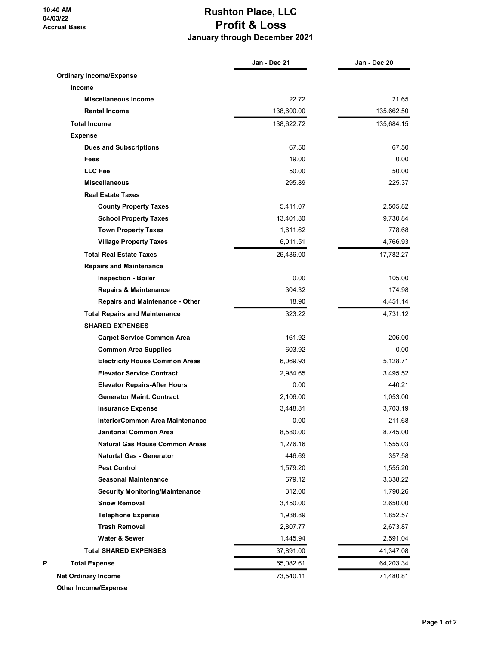10:40 AM 04/03/22 Accrual Basis

## Rushton Place, LLC Profit & Loss January through December 2021

|                                        | Jan - Dec 21 | Jan - Dec 20 |
|----------------------------------------|--------------|--------------|
| <b>Ordinary Income/Expense</b>         |              |              |
| Income                                 |              |              |
| <b>Miscellaneous Income</b>            | 22.72        | 21.65        |
| <b>Rental Income</b>                   | 138,600.00   | 135,662.50   |
| <b>Total Income</b>                    | 138,622.72   | 135,684.15   |
| <b>Expense</b>                         |              |              |
| <b>Dues and Subscriptions</b>          | 67.50        | 67.50        |
| Fees                                   | 19.00        | 0.00         |
| <b>LLC Fee</b>                         | 50.00        | 50.00        |
| <b>Miscellaneous</b>                   | 295.89       | 225.37       |
| <b>Real Estate Taxes</b>               |              |              |
| <b>County Property Taxes</b>           | 5,411.07     | 2,505.82     |
| <b>School Property Taxes</b>           | 13,401.80    | 9,730.84     |
| <b>Town Property Taxes</b>             | 1,611.62     | 778.68       |
| <b>Village Property Taxes</b>          | 6,011.51     | 4,766.93     |
| <b>Total Real Estate Taxes</b>         | 26,436.00    | 17,782.27    |
| <b>Repairs and Maintenance</b>         |              |              |
| <b>Inspection - Boiler</b>             | 0.00         | 105.00       |
| <b>Repairs &amp; Maintenance</b>       | 304.32       | 174.98       |
| <b>Repairs and Maintenance - Other</b> | 18.90        | 4,451.14     |
| <b>Total Repairs and Maintenance</b>   | 323.22       | 4,731.12     |
| <b>SHARED EXPENSES</b>                 |              |              |
| <b>Carpet Service Common Area</b>      | 161.92       | 206.00       |
| <b>Common Area Supplies</b>            | 603.92       | 0.00         |
| <b>Electricity House Common Areas</b>  | 6,069.93     | 5,128.71     |
| <b>Elevator Service Contract</b>       | 2,984.65     | 3,495.52     |
| <b>Elevator Repairs-After Hours</b>    | 0.00         | 440.21       |
| <b>Generator Maint, Contract</b>       | 2,106.00     | 1,053.00     |
| <b>Insurance Expense</b>               | 3,448.81     | 3,703.19     |
| InteriorCommon Area Maintenance        | 0.00         | 211.68       |
| <b>Janitorial Common Area</b>          | 8,580.00     | 8,745.00     |
| <b>Natural Gas House Common Areas</b>  | 1,276.16     | 1,555.03     |
| <b>Naturtal Gas - Generator</b>        | 446.69       | 357.58       |
| <b>Pest Control</b>                    | 1,579.20     | 1,555.20     |
| <b>Seasonal Maintenance</b>            | 679.12       | 3,338.22     |
| <b>Security Monitoring/Maintenance</b> | 312.00       | 1,790.26     |
| <b>Snow Removal</b>                    | 3,450.00     | 2,650.00     |
| <b>Telephone Expense</b>               | 1,938.89     | 1,852.57     |
| <b>Trash Removal</b>                   | 2,807.77     | 2,673.87     |
| Water & Sewer                          | 1,445.94     | 2,591.04     |
| <b>Total SHARED EXPENSES</b>           | 37,891.00    | 41,347.08    |
| <b>Total Expense</b>                   | 65,082.61    | 64,203.34    |
| <b>Net Ordinary Income</b>             | 73,540.11    | 71,480.81    |